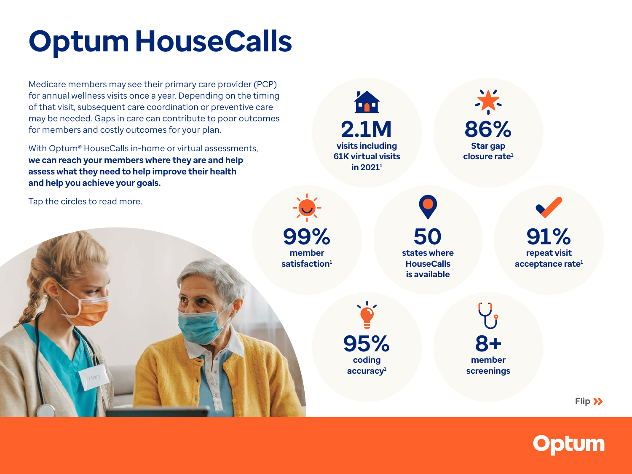# **Optum HouseCalls**

Medicare members may see their primary care provider (PCP) for annual wellness visits once a year. Depending on the timing of that visit, subsequent care coordination or preventive care may be needed. Gaps in care can contribute to poor outcomes for members and costly outcomes for your plan.

With Optum® HouseCalls in-home or virtual assessments, **we can reach your members where they are and help assess what they need to help improve their health and help you achieve your goals.** 

Tap the circles to read more.

### **What if I need a more holistic view of members?**

In addition to the standard in-home assessment, a HouseCalls APC can also conduct member screenings for:

- Social determinants of health (SDOH)
- Activities of daily living
- Nutrition
- Pain
- Cognitive impairment
- Fall risk
- Depression (PHQ2/PHQ9)
- Alcoholism (CAGE)



**member screenings**

**coding accuracy1**

**Flip** $\lambda$